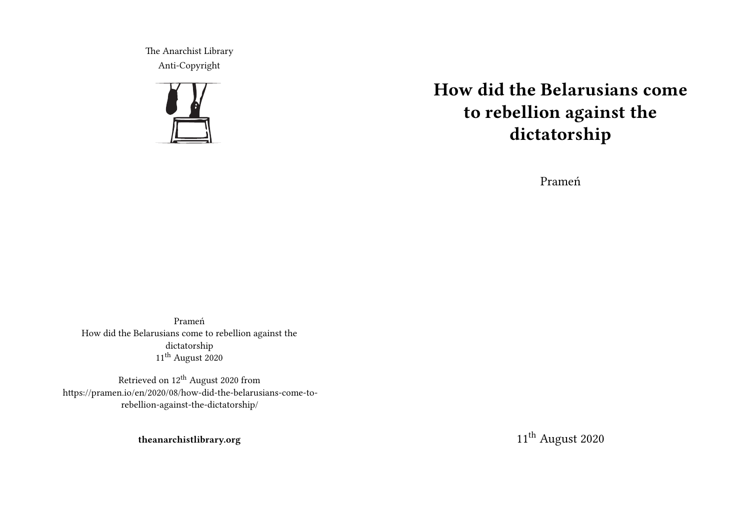The Anarchist Library Anti-Copyright



# **How did the Belarusians come to rebellion against the dictatorship**

Prameń

Prameń How did the Belarusians come to rebellion against the dictatorship 11<sup>th</sup> August 2020

Retrieved on  $12^{th}$  August 2020 from https://pramen.io/en/2020/08/how-did-the-belarusians-come-torebellion-against-the-dictatorship/

**theanarchistlibrary.org**

11<sup>th</sup> August 2020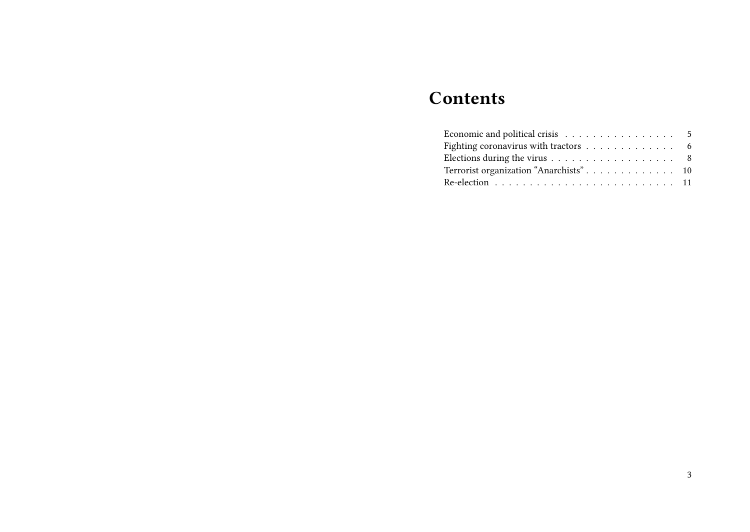# **Contents**

| Fighting coronavirus with tractors $\ldots \ldots \ldots \ldots$ 6       |  |
|--------------------------------------------------------------------------|--|
| Elections during the virus $\ldots \ldots \ldots \ldots \ldots \ldots$ 8 |  |
|                                                                          |  |
|                                                                          |  |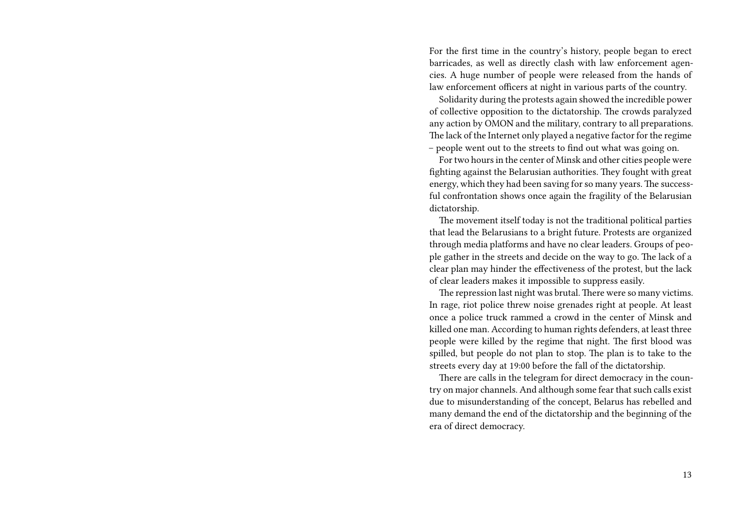For the first time in the country's history, people began to erect barricades, as well as directly clash with law enforcement agencies. A huge number of people were released from the hands of law enforcement officers at night in various parts of the country.

Solidarity during the protests again showed the incredible power of collective opposition to the dictatorship. The crowds paralyzed any action by OMON and the military, contrary to all preparations. The lack of the Internet only played a negative factor for the regime – people went out to the streets to find out what was going on.

For two hours in the center of Minsk and other cities people were fighting against the Belarusian authorities. They fought with great energy, which they had been saving for so many years. The successful confrontation shows once again the fragility of the Belarusian dictatorship.

The movement itself today is not the traditional political parties that lead the Belarusians to a bright future. Protests are organized through media platforms and have no clear leaders. Groups of people gather in the streets and decide on the way to go. The lack of a clear plan may hinder the effectiveness of the protest, but the lack of clear leaders makes it impossible to suppress easily.

The repression last night was brutal. There were so many victims. In rage, riot police threw noise grenades right at people. At least once a police truck rammed a crowd in the center of Minsk and killed one man. According to human rights defenders, at least three people were killed by the regime that night. The first blood was spilled, but people do not plan to stop. The plan is to take to the streets every day at 19:00 before the fall of the dictatorship.

There are calls in the telegram for direct democracy in the country on major channels. And although some fear that such calls exist due to misunderstanding of the concept, Belarus has rebelled and many demand the end of the dictatorship and the beginning of the era of direct democracy.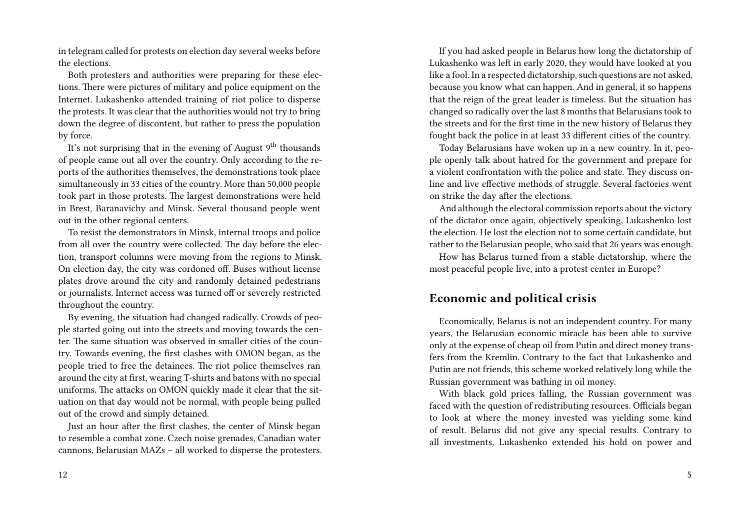in telegram called for protests on election day several weeks before the elections.

Both protesters and authorities were preparing for these elections. There were pictures of military and police equipment on the Internet. Lukashenko attended training of riot police to disperse the protests. It was clear that the authorities would not try to bring down the degree of discontent, but rather to press the population by force.

It's not surprising that in the evening of August  $9<sup>th</sup>$  thousands of people came out all over the country. Only according to the reports of the authorities themselves, the demonstrations took place simultaneously in 33 cities of the country. More than 50,000 people took part in those protests. The largest demonstrations were held in Brest, Baranavichy and Minsk. Several thousand people went out in the other regional centers.

To resist the demonstrators in Minsk, internal troops and police from all over the country were collected. The day before the election, transport columns were moving from the regions to Minsk. On election day, the city was cordoned off. Buses without license plates drove around the city and randomly detained pedestrians or journalists. Internet access was turned off or severely restricted throughout the country.

By evening, the situation had changed radically. Crowds of people started going out into the streets and moving towards the center. The same situation was observed in smaller cities of the country. Towards evening, the first clashes with OMON began, as the people tried to free the detainees. The riot police themselves ran around the city at first, wearing T-shirts and batons with no special uniforms. The attacks on OMON quickly made it clear that the situation on that day would not be normal, with people being pulled out of the crowd and simply detained.

Just an hour after the first clashes, the center of Minsk began to resemble a combat zone. Czech noise grenades, Canadian water cannons, Belarusian MAZs – all worked to disperse the protesters.

If you had asked people in Belarus how long the dictatorship of Lukashenko was left in early 2020, they would have looked at you like a fool. In a respected dictatorship, such questions are not asked, because you know what can happen. And in general, it so happens that the reign of the great leader is timeless. But the situation has changed so radically over the last 8 months that Belarusians took to the streets and for the first time in the new history of Belarus they fought back the police in at least 33 different cities of the country.

Today Belarusians have woken up in a new country. In it, people openly talk about hatred for the government and prepare for a violent confrontation with the police and state. They discuss online and live effective methods of struggle. Several factories went on strike the day after the elections.

And although the electoral commission reports about the victory of the dictator once again, objectively speaking, Lukashenko lost the election. He lost the election not to some certain candidate, but rather to the Belarusian people, who said that 26 years was enough.

How has Belarus turned from a stable dictatorship, where the most peaceful people live, into a protest center in Europe?

#### **Economic and political crisis**

Economically, Belarus is not an independent country. For many years, the Belarusian economic miracle has been able to survive only at the expense of cheap oil from Putin and direct money transfers from the Kremlin. Contrary to the fact that Lukashenko and Putin are not friends, this scheme worked relatively long while the Russian government was bathing in oil money.

With black gold prices falling, the Russian government was faced with the question of redistributing resources. Officials began to look at where the money invested was yielding some kind of result. Belarus did not give any special results. Contrary to all investments, Lukashenko extended his hold on power and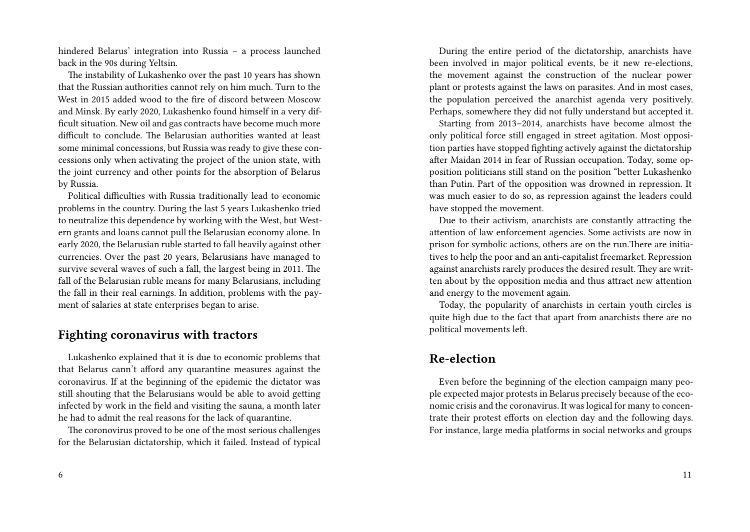hindered Belarus' integration into Russia – a process launched back in the 90s during Yeltsin.

The instability of Lukashenko over the past 10 years has shown that the Russian authorities cannot rely on him much. Turn to the West in 2015 added wood to the fire of discord between Moscow and Minsk. By early 2020, Lukashenko found himself in a very difficult situation. New oil and gas contracts have become much more difficult to conclude. The Belarusian authorities wanted at least some minimal concessions, but Russia was ready to give these concessions only when activating the project of the union state, with the joint currency and other points for the absorption of Belarus by Russia.

Political difficulties with Russia traditionally lead to economic problems in the country. During the last 5 years Lukashenko tried to neutralize this dependence by working with the West, but Western grants and loans cannot pull the Belarusian economy alone. In early 2020, the Belarusian ruble started to fall heavily against other currencies. Over the past 20 years, Belarusians have managed to survive several waves of such a fall, the largest being in 2011. The fall of the Belarusian ruble means for many Belarusians, including the fall in their real earnings. In addition, problems with the payment of salaries at state enterprises began to arise.

#### **Fighting coronavirus with tractors**

Lukashenko explained that it is due to economic problems that that Belarus cann't afford any quarantine measures against the coronavirus. If at the beginning of the epidemic the dictator was still shouting that the Belarusians would be able to avoid getting infected by work in the field and visiting the sauna, a month later he had to admit the real reasons for the lack of quarantine.

The coronovirus proved to be one of the most serious challenges for the Belarusian dictatorship, which it failed. Instead of typical

During the entire period of the dictatorship, anarchists have been involved in major political events, be it new re-elections, the movement against the construction of the nuclear power plant or protests against the laws on parasites. And in most cases, the population perceived the anarchist agenda very positively. Perhaps, somewhere they did not fully understand but accepted it.

Starting from 2013–2014, anarchists have become almost the only political force still engaged in street agitation. Most opposition parties have stopped fighting actively against the dictatorship after Maidan 2014 in fear of Russian occupation. Today, some opposition politicians still stand on the position "better Lukashenko than Putin. Part of the opposition was drowned in repression. It was much easier to do so, as repression against the leaders could have stopped the movement.

Due to their activism, anarchists are constantly attracting the attention of law enforcement agencies. Some activists are now in prison for symbolic actions, others are on the run.There are initiatives to help the poor and an anti-capitalist freemarket. Repression against anarchists rarely produces the desired result. They are written about by the opposition media and thus attract new attention and energy to the movement again.

Today, the popularity of anarchists in certain youth circles is quite high due to the fact that apart from anarchists there are no political movements left.

#### **Re-election**

Even before the beginning of the election campaign many people expected major protests in Belarus precisely because of the economic crisis and the coronavirus. It was logical for many to concentrate their protest efforts on election day and the following days. For instance, large media platforms in social networks and groups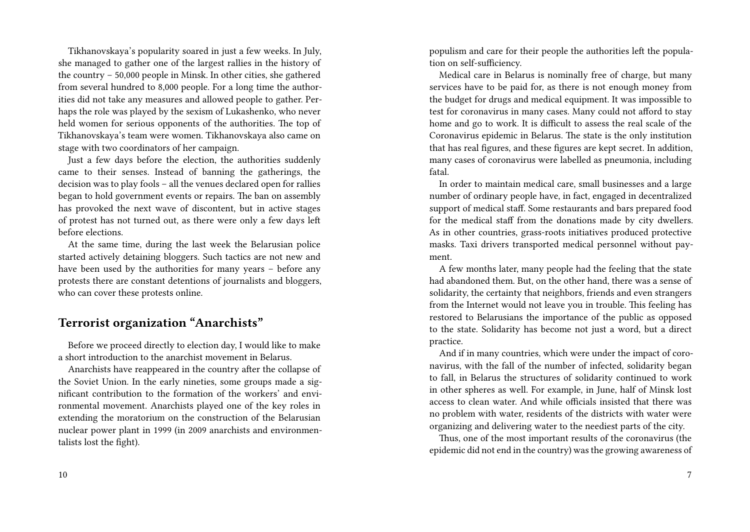Tikhanovskaya's popularity soared in just a few weeks. In July, she managed to gather one of the largest rallies in the history of the country – 50,000 people in Minsk. In other cities, she gathered from several hundred to 8,000 people. For a long time the authorities did not take any measures and allowed people to gather. Perhaps the role was played by the sexism of Lukashenko, who never held women for serious opponents of the authorities. The top of Tikhanovskaya's team were women. Tikhanovskaya also came on stage with two coordinators of her campaign.

Just a few days before the election, the authorities suddenly came to their senses. Instead of banning the gatherings, the decision was to play fools – all the venues declared open for rallies began to hold government events or repairs. The ban on assembly has provoked the next wave of discontent, but in active stages of protest has not turned out, as there were only a few days left before elections.

At the same time, during the last week the Belarusian police started actively detaining bloggers. Such tactics are not new and have been used by the authorities for many years – before any protests there are constant detentions of journalists and bloggers, who can cover these protests online.

## **Terrorist organization "Anarchists"**

Before we proceed directly to election day, I would like to make a short introduction to the anarchist movement in Belarus.

Anarchists have reappeared in the country after the collapse of the Soviet Union. In the early nineties, some groups made a significant contribution to the formation of the workers' and environmental movement. Anarchists played one of the key roles in extending the moratorium on the construction of the Belarusian nuclear power plant in 1999 (in 2009 anarchists and environmentalists lost the fight).

populism and care for their people the authorities left the population on self-sufficiency.

Medical care in Belarus is nominally free of charge, but many services have to be paid for, as there is not enough money from the budget for drugs and medical equipment. It was impossible to test for coronavirus in many cases. Many could not afford to stay home and go to work. It is difficult to assess the real scale of the Coronavirus epidemic in Belarus. The state is the only institution that has real figures, and these figures are kept secret. In addition, many cases of coronavirus were labelled as pneumonia, including fatal.

In order to maintain medical care, small businesses and a large number of ordinary people have, in fact, engaged in decentralized support of medical staff. Some restaurants and bars prepared food for the medical staff from the donations made by city dwellers. As in other countries, grass-roots initiatives produced protective masks. Taxi drivers transported medical personnel without payment.

A few months later, many people had the feeling that the state had abandoned them. But, on the other hand, there was a sense of solidarity, the certainty that neighbors, friends and even strangers from the Internet would not leave you in trouble. This feeling has restored to Belarusians the importance of the public as opposed to the state. Solidarity has become not just a word, but a direct practice.

And if in many countries, which were under the impact of coronavirus, with the fall of the number of infected, solidarity began to fall, in Belarus the structures of solidarity continued to work in other spheres as well. For example, in June, half of Minsk lost access to clean water. And while officials insisted that there was no problem with water, residents of the districts with water were organizing and delivering water to the neediest parts of the city.

Thus, one of the most important results of the coronavirus (the epidemic did not end in the country) was the growing awareness of